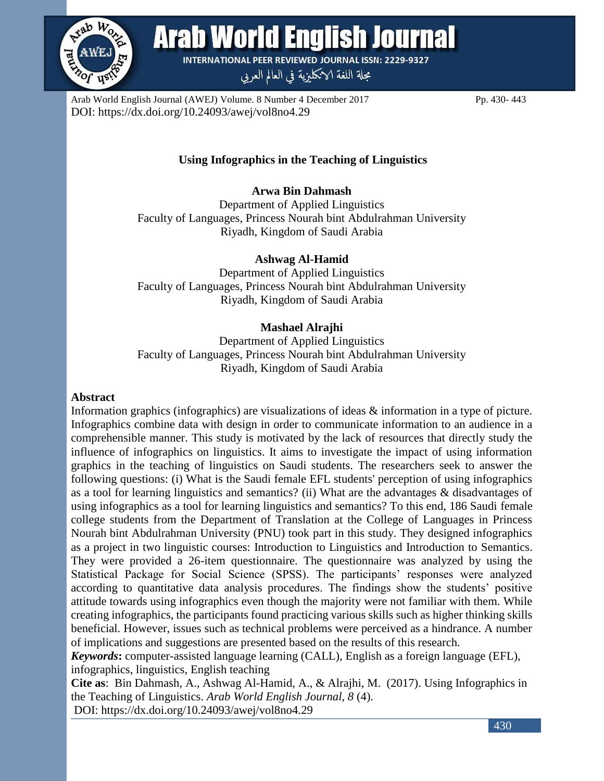

# **Arab World English Journal**

**INTERNATIONAL PEER REVIEWED JOURNAL ISSN: 2229-9327** 

مجلة اللغة الانكليزية في العالم العربي

Arab World English Journal (AWEJ) Volume. 8 Number 4 December 2017 Pp. 430- 443 DOI: [https://dx.doi.org/10.24093/awej/vol8no4.2](https://dx.doi.org/10.24093/awej/vol8no4.9)9

# **Using Infographics in the Teaching of Linguistics**

#### **Arwa Bin Dahmash**

Department of Applied Linguistics Faculty of Languages, Princess Nourah bint Abdulrahman University Riyadh, Kingdom of Saudi Arabia

#### **Ashwag Al-Hamid**

Department of Applied Linguistics Faculty of Languages, Princess Nourah bint Abdulrahman University Riyadh, Kingdom of Saudi Arabia

#### **Mashael Alrajhi**

Department of Applied Linguistics Faculty of Languages, Princess Nourah bint Abdulrahman University Riyadh, Kingdom of Saudi Arabia

#### **Abstract**

Information graphics (infographics) are visualizations of ideas & information in a type of picture. Infographics combine data with design in order to communicate information to an audience in a comprehensible manner. This study is motivated by the lack of resources that directly study the influence of infographics on linguistics. It aims to investigate the impact of using information graphics in the teaching of linguistics on Saudi students. The researchers seek to answer the following questions: (i) What is the Saudi female EFL students' perception of using infographics as a tool for learning linguistics and semantics? (ii) What are the advantages & disadvantages of using infographics as a tool for learning linguistics and semantics? To this end, 186 Saudi female college students from the Department of Translation at the College of Languages in Princess Nourah bint Abdulrahman University (PNU) took part in this study. They designed infographics as a project in two linguistic courses: Introduction to Linguistics and Introduction to Semantics. They were provided a 26-item questionnaire. The questionnaire was analyzed by using the Statistical Package for Social Science (SPSS). The participants' responses were analyzed according to quantitative data analysis procedures. The findings show the students' positive attitude towards using infographics even though the majority were not familiar with them. While creating infographics, the participants found practicing various skills such as higher thinking skills beneficial. However, issues such as technical problems were perceived as a hindrance. A number of implications and suggestions are presented based on the results of this research.

*Keywords***:** computer-assisted language learning (CALL), English as a foreign language (EFL), infographics, linguistics, English teaching

**Cite as**: Bin Dahmash, A., Ashwag Al-Hamid, A., & Alrajhi, M. (2017). Using Infographics in the Teaching of Linguistics. *Arab World English Journal, 8* (4). DOI: [https://dx.doi.org/10.24093/awej/vol8no4.2](https://dx.doi.org/10.24093/awej/vol8no4.9)9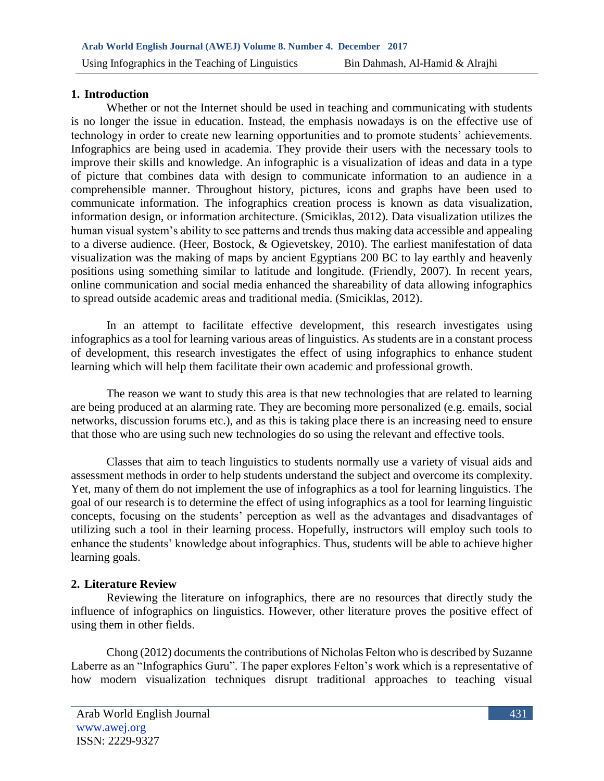#### **1. Introduction**

Whether or not the Internet should be used in teaching and communicating with students is no longer the issue in education. Instead, the emphasis nowadays is on the effective use of technology in order to create new learning opportunities and to promote students' achievements. Infographics are being used in academia. They provide their users with the necessary tools to improve their skills and knowledge. An infographic is a visualization of ideas and data in a type of picture that combines data with design to communicate information to an audience in a comprehensible manner. Throughout history, pictures, icons and graphs have been used to communicate information. The infographics creation process is known as data visualization, information design, or information architecture. (Smiciklas, 2012). Data visualization utilizes the human visual system's ability to see patterns and trends thus making data accessible and appealing to a diverse audience. (Heer, Bostock, & Ogievetskey, 2010). The earliest manifestation of data visualization was the making of maps by ancient Egyptians 200 BC to lay earthly and heavenly positions using something similar to latitude and longitude. (Friendly, 2007). In recent years, online communication and social media enhanced the shareability of data allowing infographics to spread outside academic areas and traditional media. (Smiciklas, 2012).

In an attempt to facilitate effective development, this research investigates using infographics as a tool for learning various areas of linguistics. As students are in a constant process of development, this research investigates the effect of using infographics to enhance student learning which will help them facilitate their own academic and professional growth.

The reason we want to study this area is that new technologies that are related to learning are being produced at an alarming rate. They are becoming more personalized (e.g. emails, social networks, discussion forums etc.), and as this is taking place there is an increasing need to ensure that those who are using such new technologies do so using the relevant and effective tools.

Classes that aim to teach linguistics to students normally use a variety of visual aids and assessment methods in order to help students understand the subject and overcome its complexity. Yet, many of them do not implement the use of infographics as a tool for learning linguistics. The goal of our research is to determine the effect of using infographics as a tool for learning linguistic concepts, focusing on the students' perception as well as the advantages and disadvantages of utilizing such a tool in their learning process. Hopefully, instructors will employ such tools to enhance the students' knowledge about infographics. Thus, students will be able to achieve higher learning goals.

#### **2. Literature Review**

Reviewing the literature on infographics, there are no resources that directly study the influence of infographics on linguistics. However, other literature proves the positive effect of using them in other fields.

Chong (2012) documents the contributions of Nicholas Felton who is described by Suzanne Laberre as an "Infographics Guru". The paper explores Felton's work which is a representative of how modern visualization techniques disrupt traditional approaches to teaching visual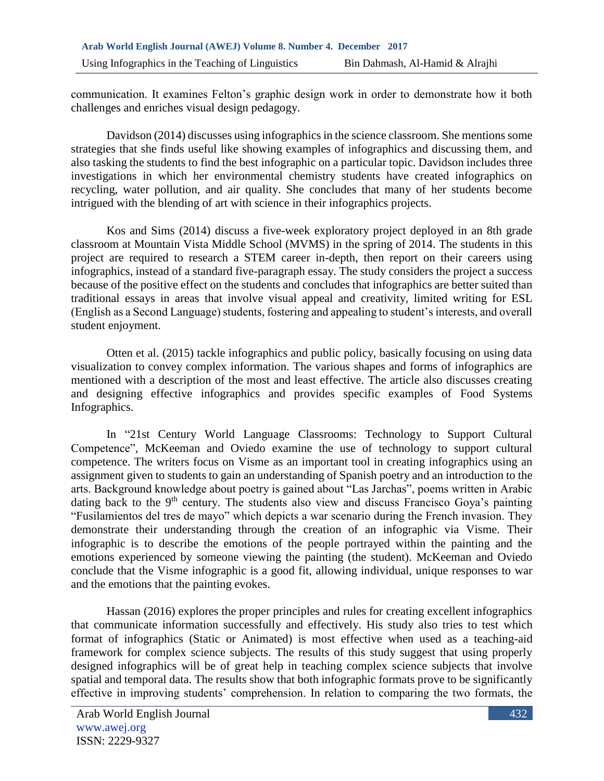communication. It examines Felton's graphic design work in order to demonstrate how it both challenges and enriches visual design pedagogy.

Davidson (2014) discusses using infographics in the science classroom. She mentions some strategies that she finds useful like showing examples of infographics and discussing them, and also tasking the students to find the best infographic on a particular topic. Davidson includes three investigations in which her environmental chemistry students have created infographics on recycling, water pollution, and air quality. She concludes that many of her students become intrigued with the blending of art with science in their infographics projects.

Kos and Sims (2014) discuss a five-week exploratory project deployed in an 8th grade classroom at Mountain Vista Middle School (MVMS) in the spring of 2014. The students in this project are required to research a STEM career in-depth, then report on their careers using infographics, instead of a standard five-paragraph essay. The study considers the project a success because of the positive effect on the students and concludes that infographics are better suited than traditional essays in areas that involve visual appeal and creativity, limited writing for ESL (English as a Second Language) students, fostering and appealing to student's interests, and overall student enjoyment.

Otten et al. (2015) tackle infographics and public policy, basically focusing on using data visualization to convey complex information. The various shapes and forms of infographics are mentioned with a description of the most and least effective. The article also discusses creating and designing effective infographics and provides specific examples of Food Systems Infographics.

In "21st Century World Language Classrooms: Technology to Support Cultural Competence", McKeeman and Oviedo examine the use of technology to support cultural competence. The writers focus on Visme as an important tool in creating infographics using an assignment given to students to gain an understanding of Spanish poetry and an introduction to the arts. Background knowledge about poetry is gained about "Las Jarchas", poems written in Arabic dating back to the 9<sup>th</sup> century. The students also view and discuss Francisco Goya's painting "Fusilamientos del tres de mayo" which depicts a war scenario during the French invasion. They demonstrate their understanding through the creation of an infographic via Visme. Their infographic is to describe the emotions of the people portrayed within the painting and the emotions experienced by someone viewing the painting (the student). McKeeman and Oviedo conclude that the Visme infographic is a good fit, allowing individual, unique responses to war and the emotions that the painting evokes.

Hassan (2016) explores the proper principles and rules for creating excellent infographics that communicate information successfully and effectively. His study also tries to test which format of infographics (Static or Animated) is most effective when used as a teaching-aid framework for complex science subjects. The results of this study suggest that using properly designed infographics will be of great help in teaching complex science subjects that involve spatial and temporal data. The results show that both infographic formats prove to be significantly effective in improving students' comprehension. In relation to comparing the two formats, the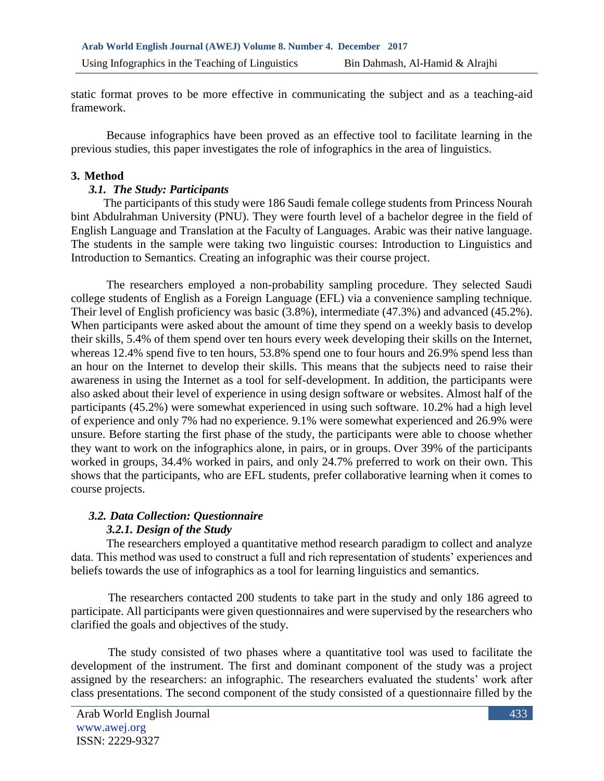static format proves to be more effective in communicating the subject and as a teaching-aid framework.

Because infographics have been proved as an effective tool to facilitate learning in the previous studies, this paper investigates the role of infographics in the area of linguistics.

#### **3. Method**

#### *3.1. The Study: Participants*

 The participants of this study were 186 Saudi female college students from Princess Nourah bint Abdulrahman University (PNU). They were fourth level of a bachelor degree in the field of English Language and Translation at the Faculty of Languages. Arabic was their native language. The students in the sample were taking two linguistic courses: Introduction to Linguistics and Introduction to Semantics. Creating an infographic was their course project.

The researchers employed a non-probability sampling procedure. They selected Saudi college students of English as a Foreign Language (EFL) via a convenience sampling technique. Their level of English proficiency was basic (3.8%), intermediate (47.3%) and advanced (45.2%). When participants were asked about the amount of time they spend on a weekly basis to develop their skills, 5.4% of them spend over ten hours every week developing their skills on the Internet, whereas 12.4% spend five to ten hours, 53.8% spend one to four hours and 26.9% spend less than an hour on the Internet to develop their skills. This means that the subjects need to raise their awareness in using the Internet as a tool for self-development. In addition, the participants were also asked about their level of experience in using design software or websites. Almost half of the participants (45.2%) were somewhat experienced in using such software. 10.2% had a high level of experience and only 7% had no experience. 9.1% were somewhat experienced and 26.9% were unsure. Before starting the first phase of the study, the participants were able to choose whether they want to work on the infographics alone, in pairs, or in groups. Over 39% of the participants worked in groups, 34.4% worked in pairs, and only 24.7% preferred to work on their own. This shows that the participants, who are EFL students, prefer collaborative learning when it comes to course projects.

# *3.2. Data Collection: Questionnaire*

#### *3.2.1. Design of the Study*

The researchers employed a quantitative method research paradigm to collect and analyze data. This method was used to construct a full and rich representation of students' experiences and beliefs towards the use of infographics as a tool for learning linguistics and semantics.

 The researchers contacted 200 students to take part in the study and only 186 agreed to participate. All participants were given questionnaires and were supervised by the researchers who clarified the goals and objectives of the study.

 The study consisted of two phases where a quantitative tool was used to facilitate the development of the instrument. The first and dominant component of the study was a project assigned by the researchers: an infographic. The researchers evaluated the students' work after class presentations. The second component of the study consisted of a questionnaire filled by the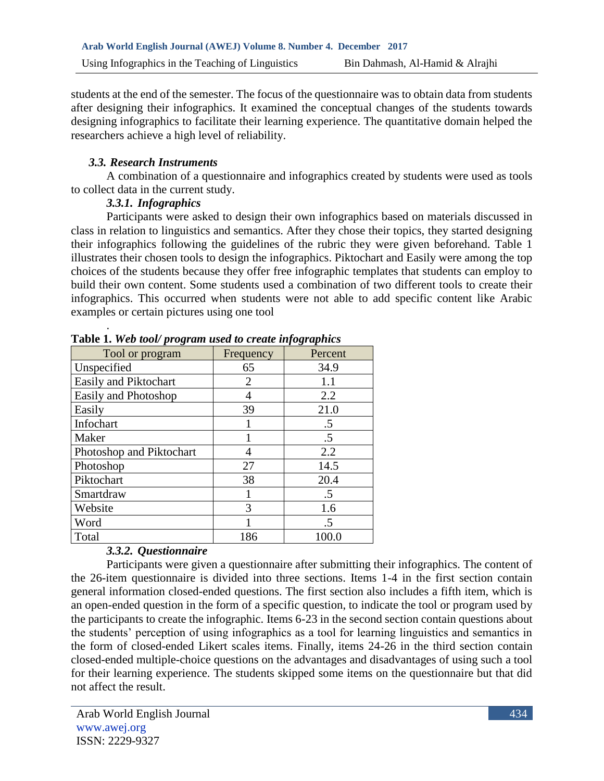students at the end of the semester. The focus of the questionnaire was to obtain data from students after designing their infographics. It examined the conceptual changes of the students towards designing infographics to facilitate their learning experience. The quantitative domain helped the researchers achieve a high level of reliability.

#### *3.3. Research Instruments*

A combination of a questionnaire and infographics created by students were used as tools to collect data in the current study.

#### *3.3.1. Infographics*

Participants were asked to design their own infographics based on materials discussed in class in relation to linguistics and semantics. After they chose their topics, they started designing their infographics following the guidelines of the rubric they were given beforehand. Table 1 illustrates their chosen tools to design the infographics. Piktochart and Easily were among the top choices of the students because they offer free infographic templates that students can employ to build their own content. Some students used a combination of two different tools to create their infographics. This occurred when students were not able to add specific content like Arabic examples or certain pictures using one tool

| ----- <i>-</i> --<br>Tool or program | Frequency | $J - \sigma - T$<br>Percent |
|--------------------------------------|-----------|-----------------------------|
| Unspecified                          | 65        | 34.9                        |
| Easily and Piktochart                | 2         | 1.1                         |
| Easily and Photoshop                 | 4         | 2.2                         |
| Easily                               | 39        | 21.0                        |
| Infochart                            |           | .5                          |
| Maker                                | 1         | .5                          |
| Photoshop and Piktochart             | 4         | 2.2                         |
| Photoshop                            | 27        | 14.5                        |
| Piktochart                           | 38        | 20.4                        |
| Smartdraw                            |           | $.5\,$                      |
| Website                              | 3         | 1.6                         |
| Word                                 | 1         | .5                          |
| Total                                | 186       | 100.0                       |

. **Table 1.** *Web tool/ program used to create infographics*

# *3.3.2. Questionnaire*

Participants were given a questionnaire after submitting their infographics. The content of the 26-item questionnaire is divided into three sections. Items 1-4 in the first section contain general information closed-ended questions. The first section also includes a fifth item, which is an open-ended question in the form of a specific question, to indicate the tool or program used by the participants to create the infographic. Items 6-23 in the second section contain questions about the students' perception of using infographics as a tool for learning linguistics and semantics in the form of closed-ended Likert scales items. Finally, items 24-26 in the third section contain closed-ended multiple-choice questions on the advantages and disadvantages of using such a tool for their learning experience. The students skipped some items on the questionnaire but that did not affect the result.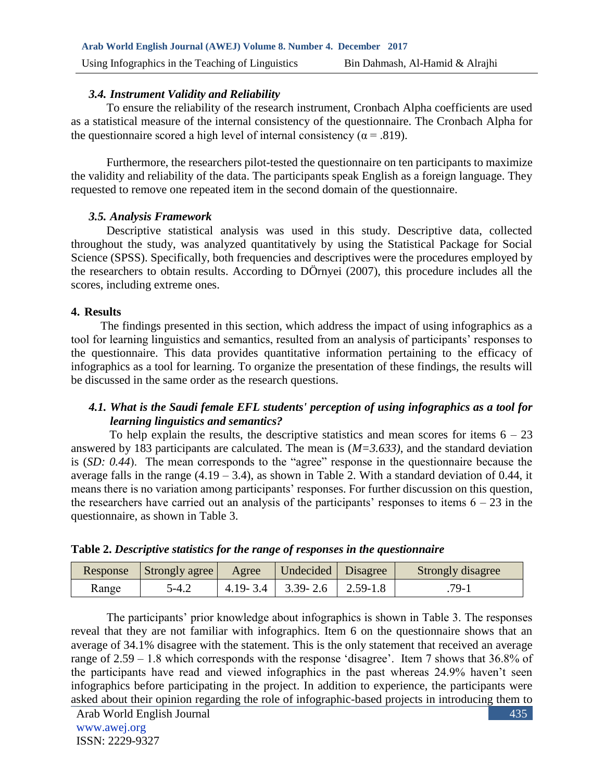#### *3.4. Instrument Validity and Reliability*

To ensure the reliability of the research instrument, Cronbach Alpha coefficients are used as a statistical measure of the internal consistency of the questionnaire. The Cronbach Alpha for the questionnaire scored a high level of internal consistency ( $\alpha$  = .819).

Furthermore, the researchers pilot-tested the questionnaire on ten participants to maximize the validity and reliability of the data. The participants speak English as a foreign language. They requested to remove one repeated item in the second domain of the questionnaire.

#### *3.5. Analysis Framework*

 Descriptive statistical analysis was used in this study. Descriptive data, collected throughout the study, was analyzed quantitatively by using the Statistical Package for Social Science (SPSS). Specifically, both frequencies and descriptives were the procedures employed by the researchers to obtain results. According to DÖrnyei (2007), this procedure includes all the scores, including extreme ones.

#### **4. Results**

 The findings presented in this section, which address the impact of using infographics as a tool for learning linguistics and semantics, resulted from an analysis of participants' responses to the questionnaire. This data provides quantitative information pertaining to the efficacy of infographics as a tool for learning. To organize the presentation of these findings, the results will be discussed in the same order as the research questions.

#### *4.1. What is the Saudi female EFL students' perception of using infographics as a tool for learning linguistics and semantics?*

To help explain the results, the descriptive statistics and mean scores for items  $6 - 23$ answered by 183 participants are calculated. The mean is (*M=3.633)*, and the standard deviation is (*SD: 0.44*). The mean corresponds to the "agree" response in the questionnaire because the average falls in the range  $(4.19 - 3.4)$ , as shown in Table 2. With a standard deviation of 0.44, it means there is no variation among participants' responses. For further discussion on this question, the researchers have carried out an analysis of the participants' responses to items  $6 - 23$  in the questionnaire, as shown in Table 3.

| Table 2. Descriptive statistics for the range of responses in the questionnaire |  |  |  |
|---------------------------------------------------------------------------------|--|--|--|
|---------------------------------------------------------------------------------|--|--|--|

| Response | <b>Strongly agree</b> | Agree | Undecided   Disagree      |                      | Strongly disagree |
|----------|-----------------------|-------|---------------------------|----------------------|-------------------|
| Range    | 5-4.2                 |       | $4.19 - 3.4$   3.39 - 2.6 | $\frac{1}{2.59-1.8}$ | 79-1              |

The participants' prior knowledge about infographics is shown in Table 3. The responses reveal that they are not familiar with infographics. Item 6 on the questionnaire shows that an average of 34.1% disagree with the statement. This is the only statement that received an average range of 2.59 – 1.8 which corresponds with the response 'disagree'. Item 7 shows that 36.8% of the participants have read and viewed infographics in the past whereas 24.9% haven't seen infographics before participating in the project. In addition to experience, the participants were asked about their opinion regarding the role of infographic-based projects in introducing them to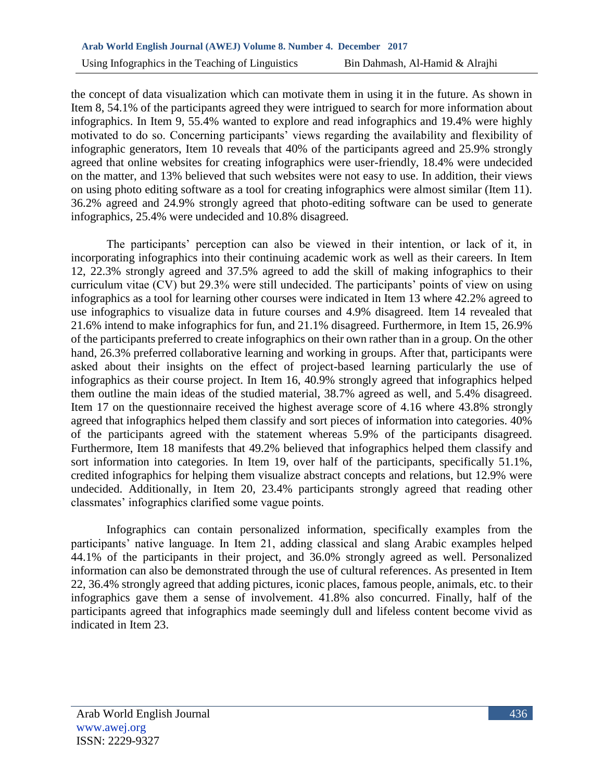the concept of data visualization which can motivate them in using it in the future. As shown in Item 8, 54.1% of the participants agreed they were intrigued to search for more information about infographics. In Item 9, 55.4% wanted to explore and read infographics and 19.4% were highly motivated to do so. Concerning participants' views regarding the availability and flexibility of infographic generators, Item 10 reveals that 40% of the participants agreed and 25.9% strongly agreed that online websites for creating infographics were user-friendly, 18.4% were undecided on the matter, and 13% believed that such websites were not easy to use. In addition, their views on using photo editing software as a tool for creating infographics were almost similar (Item 11). 36.2% agreed and 24.9% strongly agreed that photo-editing software can be used to generate infographics, 25.4% were undecided and 10.8% disagreed.

The participants' perception can also be viewed in their intention, or lack of it, in incorporating infographics into their continuing academic work as well as their careers. In Item 12, 22.3% strongly agreed and 37.5% agreed to add the skill of making infographics to their curriculum vitae (CV) but 29.3% were still undecided. The participants' points of view on using infographics as a tool for learning other courses were indicated in Item 13 where 42.2% agreed to use infographics to visualize data in future courses and 4.9% disagreed. Item 14 revealed that 21.6% intend to make infographics for fun, and 21.1% disagreed. Furthermore, in Item 15, 26.9% of the participants preferred to create infographics on their own rather than in a group. On the other hand, 26.3% preferred collaborative learning and working in groups. After that, participants were asked about their insights on the effect of project-based learning particularly the use of infographics as their course project. In Item 16, 40.9% strongly agreed that infographics helped them outline the main ideas of the studied material, 38.7% agreed as well, and 5.4% disagreed. Item 17 on the questionnaire received the highest average score of 4.16 where 43.8% strongly agreed that infographics helped them classify and sort pieces of information into categories. 40% of the participants agreed with the statement whereas 5.9% of the participants disagreed. Furthermore, Item 18 manifests that 49.2% believed that infographics helped them classify and sort information into categories. In Item 19, over half of the participants, specifically 51.1%, credited infographics for helping them visualize abstract concepts and relations, but 12.9% were undecided. Additionally, in Item 20, 23.4% participants strongly agreed that reading other classmates' infographics clarified some vague points.

Infographics can contain personalized information, specifically examples from the participants' native language. In Item 21, adding classical and slang Arabic examples helped 44.1% of the participants in their project, and 36.0% strongly agreed as well. Personalized information can also be demonstrated through the use of cultural references. As presented in Item 22, 36.4% strongly agreed that adding pictures, iconic places, famous people, animals, etc. to their infographics gave them a sense of involvement. 41.8% also concurred. Finally, half of the participants agreed that infographics made seemingly dull and lifeless content become vivid as indicated in Item 23.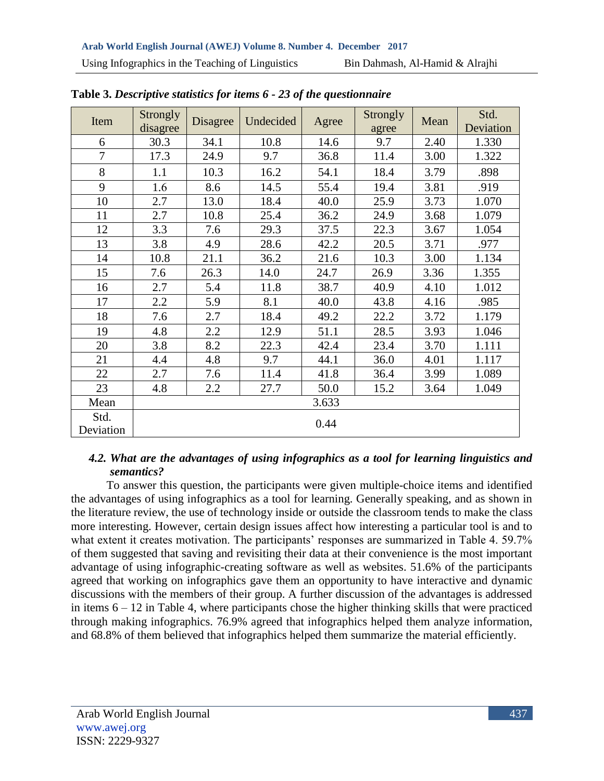Bin Dahmash, Al-Hamid & Alrajhi

| Item              | Strongly<br>disagree | Disagree | Undecided | Agree | Strongly<br>agree | Mean | Std.<br>Deviation |
|-------------------|----------------------|----------|-----------|-------|-------------------|------|-------------------|
| 6                 | 30.3                 | 34.1     | 10.8      | 14.6  | 9.7               | 2.40 | 1.330             |
| 7                 | 17.3                 | 24.9     | 9.7       | 36.8  | 11.4              | 3.00 | 1.322             |
| 8                 | 1.1                  | 10.3     | 16.2      | 54.1  | 18.4              | 3.79 | .898              |
| 9                 | 1.6                  | 8.6      | 14.5      | 55.4  | 19.4              | 3.81 | .919              |
| 10                | 2.7                  | 13.0     | 18.4      | 40.0  | 25.9              | 3.73 | 1.070             |
| 11                | 2.7                  | 10.8     | 25.4      | 36.2  | 24.9              | 3.68 | 1.079             |
| 12                | 3.3                  | 7.6      | 29.3      | 37.5  | 22.3              | 3.67 | 1.054             |
| 13                | 3.8                  | 4.9      | 28.6      | 42.2  | 20.5              | 3.71 | .977              |
| 14                | 10.8                 | 21.1     | 36.2      | 21.6  | 10.3              | 3.00 | 1.134             |
| 15                | 7.6                  | 26.3     | 14.0      | 24.7  | 26.9              | 3.36 | 1.355             |
| 16                | 2.7                  | 5.4      | 11.8      | 38.7  | 40.9              | 4.10 | 1.012             |
| 17                | 2.2                  | 5.9      | 8.1       | 40.0  | 43.8              | 4.16 | .985              |
| 18                | 7.6                  | 2.7      | 18.4      | 49.2  | 22.2              | 3.72 | 1.179             |
| 19                | 4.8                  | 2.2      | 12.9      | 51.1  | 28.5              | 3.93 | 1.046             |
| 20                | 3.8                  | 8.2      | 22.3      | 42.4  | 23.4              | 3.70 | 1.111             |
| 21                | 4.4                  | 4.8      | 9.7       | 44.1  | 36.0              | 4.01 | 1.117             |
| 22                | 2.7                  | 7.6      | 11.4      | 41.8  | 36.4              | 3.99 | 1.089             |
| 23                | 4.8                  | 2.2      | 27.7      | 50.0  | 15.2              | 3.64 | 1.049             |
| Mean              |                      |          |           | 3.633 |                   |      |                   |
| Std.<br>Deviation |                      |          |           | 0.44  |                   |      |                   |

**Table 3.** *Descriptive statistics for items 6 - 23 of the questionnaire* 

#### *4.2. What are the advantages of using infographics as a tool for learning linguistics and semantics?*

To answer this question, the participants were given multiple-choice items and identified the advantages of using infographics as a tool for learning. Generally speaking, and as shown in the literature review, the use of technology inside or outside the classroom tends to make the class more interesting. However, certain design issues affect how interesting a particular tool is and to what extent it creates motivation. The participants' responses are summarized in Table 4. 59.7% of them suggested that saving and revisiting their data at their convenience is the most important advantage of using infographic-creating software as well as websites. 51.6% of the participants agreed that working on infographics gave them an opportunity to have interactive and dynamic discussions with the members of their group. A further discussion of the advantages is addressed in items  $6 - 12$  in Table 4, where participants chose the higher thinking skills that were practiced through making infographics. 76.9% agreed that infographics helped them analyze information, and 68.8% of them believed that infographics helped them summarize the material efficiently.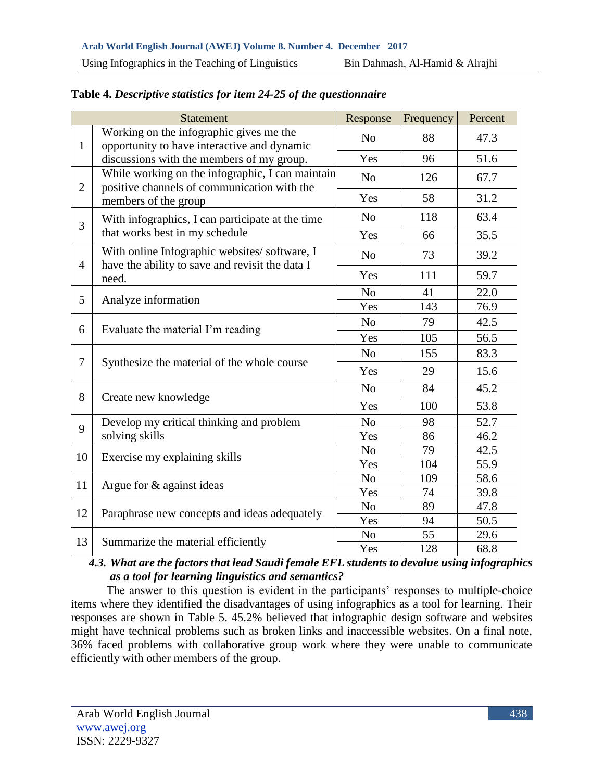|                | <b>Statement</b>                                                                                | Response       | Frequency | Percent |
|----------------|-------------------------------------------------------------------------------------------------|----------------|-----------|---------|
| $\mathbf{1}$   | Working on the infographic gives me the<br>opportunity to have interactive and dynamic          | N <sub>o</sub> | 88        | 47.3    |
|                | discussions with the members of my group.                                                       | Yes            | 96        | 51.6    |
| $\overline{2}$ | While working on the infographic, I can maintain<br>positive channels of communication with the | N <sub>o</sub> | 126       | 67.7    |
|                | members of the group                                                                            | Yes            | 58        | 31.2    |
| 3              | With infographics, I can participate at the time                                                | N <sub>o</sub> | 118       | 63.4    |
|                | that works best in my schedule                                                                  | Yes            | 66        | 35.5    |
| $\overline{4}$ | With online Infographic websites/software, I<br>have the ability to save and revisit the data I | N <sub>0</sub> | 73        | 39.2    |
|                | need.                                                                                           | Yes            | 111       | 59.7    |
| 5              | Analyze information                                                                             | N <sub>o</sub> | 41        | 22.0    |
|                |                                                                                                 | Yes            | 143       | 76.9    |
| 6              | Evaluate the material I'm reading                                                               | N <sub>o</sub> | 79        | 42.5    |
|                |                                                                                                 | Yes            | 105       | 56.5    |
| $\overline{7}$ | Synthesize the material of the whole course                                                     | N <sub>o</sub> | 155       | 83.3    |
|                |                                                                                                 | Yes            | 29        | 15.6    |
| 8              | Create new knowledge                                                                            | N <sub>o</sub> | 84        | 45.2    |
|                |                                                                                                 | Yes            | 100       | 53.8    |
| 9              | Develop my critical thinking and problem                                                        | N <sub>o</sub> | 98        | 52.7    |
|                | solving skills                                                                                  | Yes            | 86        | 46.2    |
| 10             |                                                                                                 | No             | 79        | 42.5    |
|                | Exercise my explaining skills                                                                   | Yes            | 104       | 55.9    |
| 11             | Argue for & against ideas                                                                       | N <sub>o</sub> | 109       | 58.6    |
|                |                                                                                                 | Yes            | 74        | 39.8    |
| 12             | Paraphrase new concepts and ideas adequately                                                    | No             | 89        | 47.8    |
|                |                                                                                                 | Yes            | 94        | 50.5    |
| 13             | Summarize the material efficiently                                                              | N <sub>o</sub> | 55        | 29.6    |
|                |                                                                                                 | Yes            | 128       | 68.8    |

# **Table 4.** *Descriptive statistics for item 24-25 of the questionnaire*

# *4.3. What are the factors that lead Saudi female EFL students to devalue using infographics as a tool for learning linguistics and semantics?*

The answer to this question is evident in the participants' responses to multiple-choice items where they identified the disadvantages of using infographics as a tool for learning. Their responses are shown in Table 5. 45.2% believed that infographic design software and websites might have technical problems such as broken links and inaccessible websites. On a final note, 36% faced problems with collaborative group work where they were unable to communicate efficiently with other members of the group.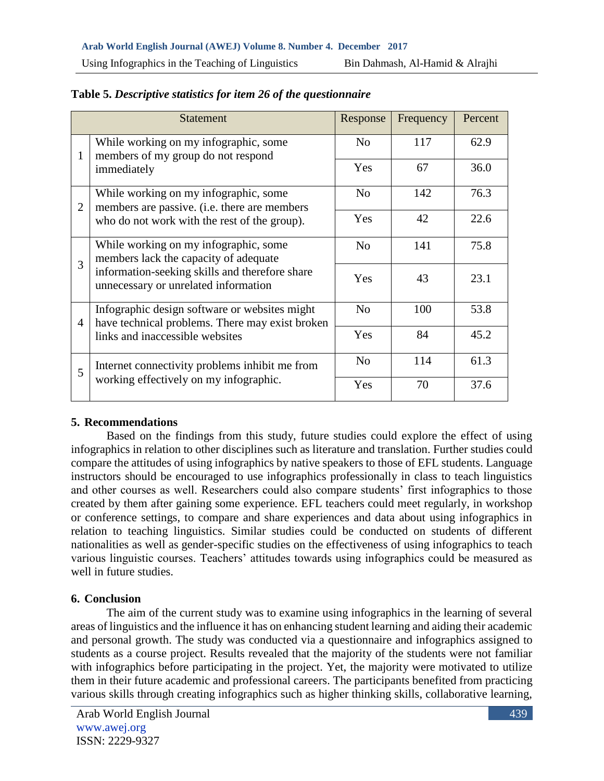|                | <b>Statement</b>                                                                                                                                                         | Response       | Frequency | Percent |
|----------------|--------------------------------------------------------------------------------------------------------------------------------------------------------------------------|----------------|-----------|---------|
| $\mathbf{1}$   | While working on my infographic, some<br>members of my group do not respond                                                                                              | N <sub>0</sub> | 117       | 62.9    |
|                | immediately                                                                                                                                                              | Yes            | 67        | 36.0    |
| 2              | While working on my infographic, some<br>members are passive. (i.e. there are members                                                                                    | N <sub>o</sub> | 142       | 76.3    |
|                | who do not work with the rest of the group).                                                                                                                             | Yes            | 42        | 22.6    |
| 3              | While working on my infographic, some<br>members lack the capacity of adequate<br>information-seeking skills and therefore share<br>unnecessary or unrelated information | N <sub>0</sub> | 141       | 75.8    |
|                |                                                                                                                                                                          | Yes            | 43        | 23.1    |
| $\overline{4}$ | Infographic design software or websites might<br>have technical problems. There may exist broken                                                                         | N <sub>0</sub> | 100       | 53.8    |
|                | links and inaccessible websites                                                                                                                                          | Yes            | 84        | 45.2    |
| 5              | Internet connectivity problems inhibit me from<br>working effectively on my infographic.                                                                                 | N <sub>0</sub> | 114       | 61.3    |
|                |                                                                                                                                                                          | Yes            | 70        | 37.6    |

# **Table 5.** *Descriptive statistics for item 26 of the questionnaire*

Using Infographics in the Teaching of Linguistics

### **5. Recommendations**

Based on the findings from this study, future studies could explore the effect of using infographics in relation to other disciplines such as literature and translation. Further studies could compare the attitudes of using infographics by native speakers to those of EFL students. Language instructors should be encouraged to use infographics professionally in class to teach linguistics and other courses as well. Researchers could also compare students' first infographics to those created by them after gaining some experience. EFL teachers could meet regularly, in workshop or conference settings, to compare and share experiences and data about using infographics in relation to teaching linguistics. Similar studies could be conducted on students of different nationalities as well as gender-specific studies on the effectiveness of using infographics to teach various linguistic courses. Teachers' attitudes towards using infographics could be measured as well in future studies.

#### **6. Conclusion**

The aim of the current study was to examine using infographics in the learning of several areas of linguistics and the influence it has on enhancing student learning and aiding their academic and personal growth. The study was conducted via a questionnaire and infographics assigned to students as a course project. Results revealed that the majority of the students were not familiar with infographics before participating in the project. Yet, the majority were motivated to utilize them in their future academic and professional careers. The participants benefited from practicing various skills through creating infographics such as higher thinking skills, collaborative learning,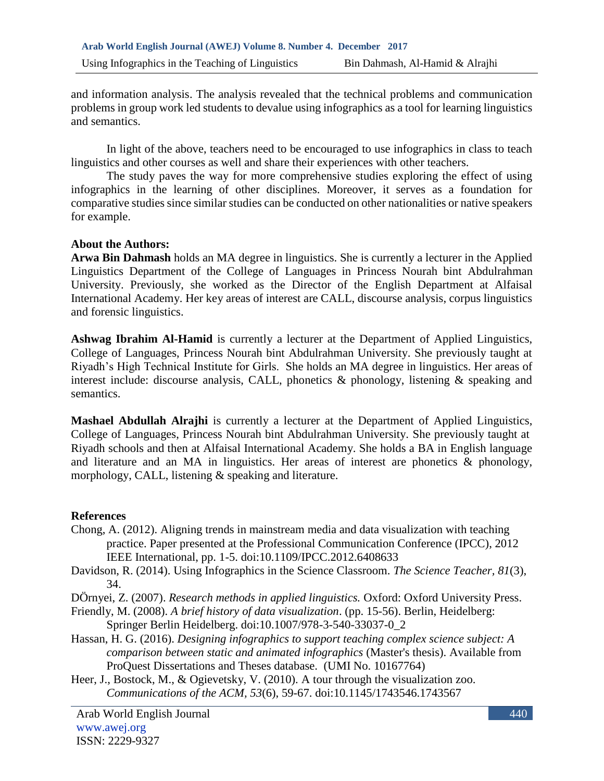and information analysis. The analysis revealed that the technical problems and communication problems in group work led students to devalue using infographics as a tool for learning linguistics and semantics.

In light of the above, teachers need to be encouraged to use infographics in class to teach linguistics and other courses as well and share their experiences with other teachers.

The study paves the way for more comprehensive studies exploring the effect of using infographics in the learning of other disciplines. Moreover, it serves as a foundation for comparative studies since similar studies can be conducted on other nationalities or native speakers for example.

#### **About the Authors:**

**Arwa Bin Dahmash** holds an MA degree in linguistics. She is currently a lecturer in the Applied Linguistics Department of the College of Languages in Princess Nourah bint Abdulrahman University. Previously, she worked as the Director of the English Department at Alfaisal International Academy. Her key areas of interest are CALL, discourse analysis, corpus linguistics and forensic linguistics.

**Ashwag Ibrahim Al-Hamid** is currently a lecturer at the Department of Applied Linguistics, College of Languages, Princess Nourah bint Abdulrahman University. She previously taught at Riyadh's High Technical Institute for Girls. She holds an MA degree in linguistics. Her areas of interest include: discourse analysis, CALL, phonetics & phonology, listening & speaking and semantics.

**Mashael Abdullah Alrajhi** is currently a lecturer at the Department of Applied Linguistics, College of Languages, Princess Nourah bint Abdulrahman University. She previously taught at Riyadh schools and then at Alfaisal International Academy. She holds a BA in English language and literature and an MA in linguistics. Her areas of interest are phonetics & phonology, morphology, CALL, listening & speaking and literature.

#### **References**

- Chong, A. (2012). Aligning trends in mainstream media and data visualization with teaching practice. Paper presented at the Professional Communication Conference (IPCC), 2012 IEEE International, pp. 1-5. doi:10.1109/IPCC.2012.6408633
- Davidson, R. (2014). Using Infographics in the Science Classroom. *The Science Teacher, 81*(3), 34.

DÖrnyei, Z. (2007). *Research methods in applied linguistics.* Oxford: Oxford University Press.

Friendly, M. (2008). *A brief history of data visualization*. (pp. 15-56). Berlin, Heidelberg: Springer Berlin Heidelberg. doi:10.1007/978-3-540-33037-0\_2

- Hassan, H. G. (2016). *Designing infographics to support teaching complex science subject: A comparison between static and animated infographics* (Master's thesis). Available from ProQuest Dissertations and Theses database. (UMI No. 10167764)
- Heer, J., Bostock, M., & Ogievetsky, V. (2010). A tour through the visualization zoo. *Communications of the ACM, 53*(6), 59-67. doi:10.1145/1743546.1743567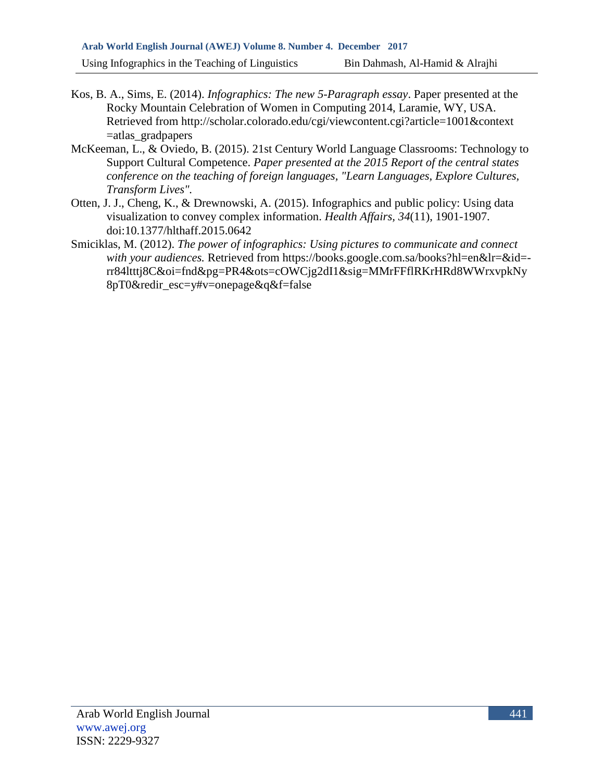- Kos, B. A., Sims, E. (2014). *Infographics: The new 5-Paragraph essay*. Paper presented at the Rocky Mountain Celebration of Women in Computing 2014, Laramie, WY, USA. Retrieved from <http://scholar.colorado.edu/cgi/viewcontent.cgi?article=1001&context> =atlas\_gradpapers
- McKeeman, L., & Oviedo, B. (2015). 21st Century World Language Classrooms: Technology to Support Cultural Competence. *Paper presented at the 2015 Report of the central states conference on the teaching of foreign languages, "Learn Languages, Explore Cultures, Transform Lives".*
- Otten, J. J., Cheng, K., & Drewnowski, A. (2015). Infographics and public policy: Using data visualization to convey complex information. *Health Affairs, 34*(11), 1901-1907. doi:10.1377/hlthaff.2015.0642
- Smiciklas, M. (2012). *The power of infographics: Using pictures to communicate and connect with your audiences.* Retrieved from [https://books.google.com.sa/books?hl=en&lr=&id=](https://books.google.com.sa/books?hl=en&lr=&id=-rr84ltttj8C&oi=fnd&pg=PR4&ots=cOWCjg2dI1&sig=MMrFFflRKrHRd8WWrxvpkNy8pT0&redir_esc=y#v=onepage&q&f=false) [rr84ltttj8C&oi=fnd&pg=PR4&ots=cOWCjg2dI1&sig=MMrFFflRKrHRd8WWrxvpkNy](https://books.google.com.sa/books?hl=en&lr=&id=-rr84ltttj8C&oi=fnd&pg=PR4&ots=cOWCjg2dI1&sig=MMrFFflRKrHRd8WWrxvpkNy8pT0&redir_esc=y#v=onepage&q&f=false) [8pT0&redir\\_esc=y#v=onepage&q&f=false](https://books.google.com.sa/books?hl=en&lr=&id=-rr84ltttj8C&oi=fnd&pg=PR4&ots=cOWCjg2dI1&sig=MMrFFflRKrHRd8WWrxvpkNy8pT0&redir_esc=y#v=onepage&q&f=false)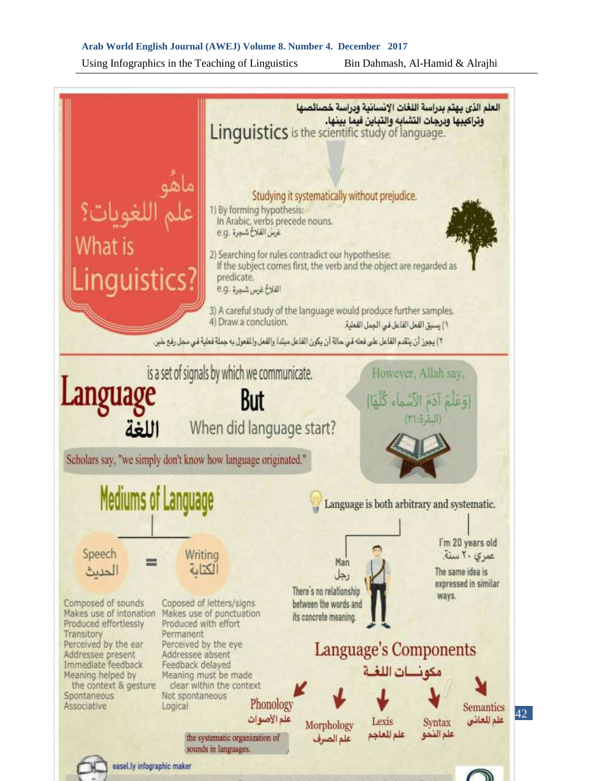#### **Arab World English Journal (AWEJ) Volume 8. Number 4. December 2017**

Using Infographics in the Teaching of Linguistics Bin Dahmash, Al-Hamid & Alrajhi